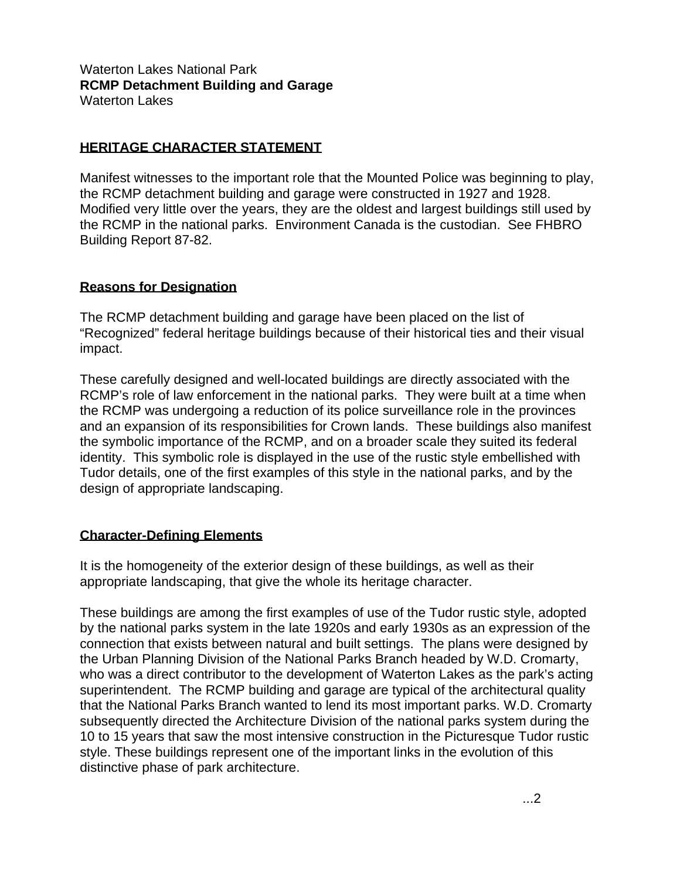## Waterton Lakes National Park **RCMP Detachment Building and Garage**  Waterton Lakes

## **HERITAGE CHARACTER STATEMENT**

Manifest witnesses to the important role that the Mounted Police was beginning to play, the RCMP detachment building and garage were constructed in 1927 and 1928. Modified very little over the years, they are the oldest and largest buildings still used by the RCMP in the national parks. Environment Canada is the custodian. See FHBRO Building Report 87-82.

## **Reasons for Designation**

The RCMP detachment building and garage have been placed on the list of "Recognized" federal heritage buildings because of their historical ties and their visual impact.

These carefully designed and well-located buildings are directly associated with the RCMP's role of law enforcement in the national parks. They were built at a time when the RCMP was undergoing a reduction of its police surveillance role in the provinces and an expansion of its responsibilities for Crown lands. These buildings also manifest the symbolic importance of the RCMP, and on a broader scale they suited its federal identity. This symbolic role is displayed in the use of the rustic style embellished with Tudor details, one of the first examples of this style in the national parks, and by the design of appropriate landscaping.

## **Character-Defining Elements**

It is the homogeneity of the exterior design of these buildings, as well as their appropriate landscaping, that give the whole its heritage character.

These buildings are among the first examples of use of the Tudor rustic style, adopted by the national parks system in the late 1920s and early 1930s as an expression of the connection that exists between natural and built settings. The plans were designed by the Urban Planning Division of the National Parks Branch headed by W.D. Cromarty, who was a direct contributor to the development of Waterton Lakes as the park's acting superintendent. The RCMP building and garage are typical of the architectural quality that the National Parks Branch wanted to lend its most important parks. W.D. Cromarty subsequently directed the Architecture Division of the national parks system during the 10 to 15 years that saw the most intensive construction in the Picturesque Tudor rustic style. These buildings represent one of the important links in the evolution of this distinctive phase of park architecture.